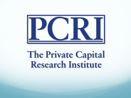

# The Private Capital<br>Research Institute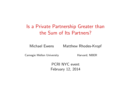# Is a Private Partnership Greater than the Sum of Its Partners?

Michael Ewens Matthew Rhodes-Kropf

Carnegie Mellon University Harvard; NBER

PCRI NYC event February 12, 2014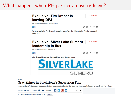# What happens when PE partners move or leave?

### **Exclusive: Tim Draper is** leaving DFJ

**FORTHNE** 

By Dan Primack November 19, 2013: 3:20 PM ET

**ST** 



Venture capitalist Tim Draper is stepping back from the Silicon Valley firm he created 28 years ago.



**MARKETS** 

#### Gray Shines in Blackstone's Succession Plan

Head of Firm's Property Business Is Top Candidate Should the Current President Depart in the Next Few Years

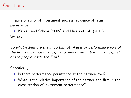### **Questions**

In spite of rarity of investment success, evidence of return persistence:

 $\triangleright$  Kaplan and Schoar (2005) and Harris et. al. (2013) We ask:

To what extent are the important attributes of performance part of the firm's organizational capital or embodied in the human capital of the people inside the firm?

Specifically:

- If Is there performance persistence at the partner-level?
- $\triangleright$  What is the relative importance of the partner and firm in the cross-section of investment performance?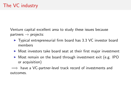Venture capital excellent area to study these issues because  $partners \rightarrow projects$ :

- $\triangleright$  Typical entrepreneurial firm board has 3.3 VC investor board members
- $\triangleright$  Most investors take board seat at their first major investment
- $\triangleright$  Most remain on the board through investment exit (e.g. IPO or acquisition)

 $\implies$  have a VC-partner-level track record of investments and outcomes.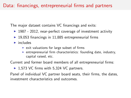## Data: financings, entrepreneurial firms and partners

The major dataset contains VC financings and exits:

- $\blacktriangleright$  1987 2012, near-perfect coverage of investment activity
- $\triangleright$  19,053 financings in 11,885 entrepreneurial firms
- $\blacktriangleright$  includes
	- $\triangleright$  exit valuations for large subset of firms
	- $\triangleright$  entrepreneurial firm characteristics: founding date, industry, capital raised, etc.

Current and former board members of all entrepreneurial firms:

 $\blacktriangleright$  1,573 VC firms with 5,324 VC partners.

Panel of individual VC partner board seats, their firms, the dates, investment characteristics and outcomes.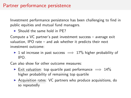Investment performance persistence has been challenging to find in public equities and mutual fund managers.

 $\triangleright$  Should the same hold in PF?

Compute a VC partner's past investment success – average exit valuation, IPO rate – and ask whether it predicts their next investment outcome:

 $\triangleright$  1 sd increase in past success  $\implies$  17% higher probability of IPO.

Can also show for other outcome measures:

- ► Exit valuation: top quartile past performance  $\implies$  14% higher probability of remaining top quartile
- $\triangleright$  Acquisition rates: VC partners who produce acquisitions, do so repeatedly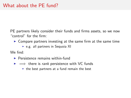PE partners likely consider their funds and firms assets, so we now "control" for the firm:

- $\triangleright$  Compare partners investing at the same firm at the same time
	- $\triangleright$  e.g. all partners in Sequoia XI

We find:

- $\blacktriangleright$  Persistence remains within-fund
- $\triangleright \implies$  there is rank persistence with VC funds
	- $\triangleright$  the best partners at a fund remain the best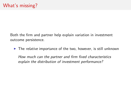Both the firm and partner help explain variation in investment outcome persistence.

 $\blacktriangleright$  The *relative* importance of the two, however, is still unknown How much can the partner and firm fixed characteristics explain the distribution of investment performance?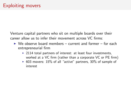Venture capital partners who sit on multiple boards over their career allow us to infer their movement across VC firms:

- $\triangleright$  We observe board members current and former for each entrepreneurial firm
	- $\triangleright$  2114 total partners of interest: at least four investments, worked at a VC firm (rather than a corporate VC or PE firm)
	- $\triangleright$  603 movers: 15% of all "active" partners, 30% of sample of interest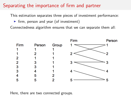# Separating the importance of firm and partner

This estimation separates three pieces of investment performance:

 $\blacktriangleright$  firm, person and year (of investment)

Connectedness algorithm ensures that we can separate them all:



Here, there are two connected groups.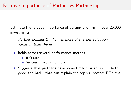Estimate the relative importance of partner and firm in over 20,000 investments:

Partner explains 2 - 4 times more of the exit valuation variation than the firm.

- $\blacktriangleright$  holds across several performance metrics
	- $\blacktriangleright$  IPO rate
	- $\triangleright$  Successful acquisition rates
- $\triangleright$  Suggests that partner's have some time-invariant skill both good and bad – that can explain the top vs. bottom PE firms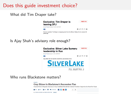# Does this guide investment choice?

What did Tim Draper take?



Is Ajay Shah's advisory role enough?



Who runs Blackstone matters?

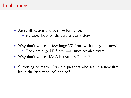- $\triangleright$  Asset allocation and past performance:
	- $\triangleright$  increased focus on the partner-deal history
- $\triangleright$  Why don't we see a few huge VC firms with many partners?
	- $\triangleright$  There are huge PE funds  $\implies$  more scalable assets
- ▶ Why don't we see M&A between VC firms?
- $\triangleright$  Surprising to many LPs did partners who set up a new firm leave the 'secret sauce' behind?